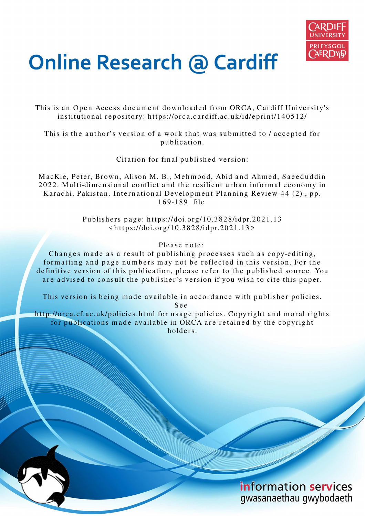

# **Online Research @ Cardiff**

This is an Open Access document downloaded from ORCA, Cardiff University's institutional repository: https://orca.cardiff.ac.uk/id/eprint/140512/

This is the author's version of a work that was submitted to / accepted for p u blication.

Citation for final published version:

MacKie, Peter, Brown, Alison M. B., Mehmood, Abid and Ahmed, Saeeduddin 2022. Multi-dimensional conflict and the resilient urban informal economy in Karachi, Pakistan. International Development Planning Review 44 (2), pp. 1 6 9-1 8 9. file

> Publishers page: https://doi.org/10.3828/idpr.2021.13  $\frac{\text{th}\, \text{t}}{\text{t} \cdot \text{t}}$  //doi.org/10.3828/idpr.2021.13>

> > Please note:

Changes made as a result of publishing processes such as copy-editing, formatting and page numbers may not be reflected in this version. For the definitive version of this publication, please refer to the published source. You are advised to consult the publisher's version if you wish to cite this paper.

This version is being made available in accordance with publisher policies.

S e e

http://orca.cf.ac.uk/policies.html for usage policies. Copyright and moral rights for publications made available in ORCA are retained by the copyright holders

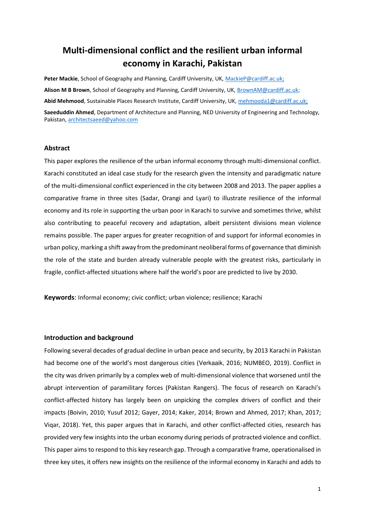# **Multi-dimensional conflict and the resilient urban informal economy in Karachi, Pakistan**

**Peter Mackie**, School of Geography and Planning, Cardiff University, UK, [MackieP@cardiff.ac.uk;](mailto:MackieP@cardiff.ac.uk) **Alison M B Brown**, School of Geography and Planning, Cardiff University, UK[, BrownAM@cardiff.ac.uk;](mailto:BrownAM@cardiff.ac.uk) **Abid Mehmood**, Sustainable Places Research Institute, Cardiff University, UK, [mehmooda1@cardiff.ac.uk;](mailto:mehmooda1@cardiff.ac.uk)

**Saeeduddin Ahmed**, Department of Architecture and Planning, NED University of Engineering and Technology, Pakistan, [architectsaeed@yahoo.com](mailto:architectsaeed@yahoo.com) 

#### **Abstract**

This paper explores the resilience of the urban informal economy through multi-dimensional conflict. Karachi constituted an ideal case study for the research given the intensity and paradigmatic nature of the multi-dimensional conflict experienced in the city between 2008 and 2013. The paper applies a comparative frame in three sites (Sadar, Orangi and Lyari) to illustrate resilience of the informal economy and its role in supporting the urban poor in Karachi to survive and sometimes thrive, whilst also contributing to peaceful recovery and adaptation, albeit persistent divisions mean violence remains possible. The paper argues for greater recognition of and support for informal economies in urban policy, marking a shift away from the predominant neoliberal forms of governance that diminish the role of the state and burden already vulnerable people with the greatest risks, particularly in fragile, conflict-affected situations where half the world's poor are predicted to live by 2030.

**Keywords**: Informal economy; civic conflict; urban violence; resilience; Karachi

#### **Introduction and background**

Following several decades of gradual decline in urban peace and security, by 2013 Karachi in Pakistan had become one of the world's most dangerous cities (Verkaaik, 2016; NUMBEO, 2019). Conflict in the city was driven primarily by a complex web of multi-dimensional violence that worsened until the abrupt intervention of paramilitary forces (Pakistan Rangers). The focus of research on Karachi's conflict-affected history has largely been on unpicking the complex drivers of conflict and their impacts (Boivin, 2010; Yusuf 2012; Gayer, 2014; Kaker, 2014; Brown and Ahmed, 2017; Khan, 2017; Viqar, 2018). Yet, this paper argues that in Karachi, and other conflict-affected cities, research has provided very few insights into the urban economy during periods of protracted violence and conflict. This paper aims to respond to this key research gap. Through a comparative frame, operationalised in three key sites, it offers new insights on the resilience of the informal economy in Karachi and adds to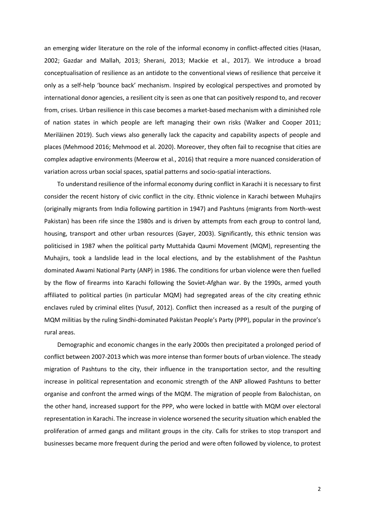an emerging wider literature on the role of the informal economy in conflict-affected cities (Hasan, 2002; Gazdar and Mallah, 2013; Sherani, 2013; Mackie et al., 2017). We introduce a broad conceptualisation of resilience as an antidote to the conventional views of resilience that perceive it only as a self-help 'bounce back' mechanism. Inspired by ecological perspectives and promoted by international donor agencies, a resilient city is seen as one that can positively respond to, and recover from, crises. Urban resilience in this case becomes a market-based mechanism with a diminished role of nation states in which people are left managing their own risks (Walker and Cooper 2011; Meriläinen 2019). Such views also generally lack the capacity and capability aspects of people and places (Mehmood 2016; Mehmood et al. 2020). Moreover, they often fail to recognise that cities are complex adaptive environments (Meerow et al., 2016) that require a more nuanced consideration of variation across urban social spaces, spatial patterns and socio-spatial interactions.

To understand resilience of the informal economy during conflict in Karachi it is necessary to first consider the recent history of civic conflict in the city. Ethnic violence in Karachi between Muhajirs (originally migrants from India following partition in 1947) and Pashtuns (migrants from North-west Pakistan) has been rife since the 1980s and is driven by attempts from each group to control land, housing, transport and other urban resources (Gayer, 2003). Significantly, this ethnic tension was politicised in 1987 when the political party Muttahida Qaumi Movement (MQM), representing the Muhajirs, took a landslide lead in the local elections, and by the establishment of the Pashtun dominated Awami National Party (ANP) in 1986. The conditions for urban violence were then fuelled by the flow of firearms into Karachi following the Soviet-Afghan war. By the 1990s, armed youth affiliated to political parties (in particular MQM) had segregated areas of the city creating ethnic enclaves ruled by criminal elites (Yusuf, 2012). Conflict then increased as a result of the purging of MQM militias by the ruling Sindhi-dominated Pakistan People's Party (PPP), popular in the province's rural areas.

Demographic and economic changes in the early 2000s then precipitated a prolonged period of conflict between 2007-2013 which was more intense than former bouts of urban violence. The steady migration of Pashtuns to the city, their influence in the transportation sector, and the resulting increase in political representation and economic strength of the ANP allowed Pashtuns to better organise and confront the armed wings of the MQM. The migration of people from Balochistan, on the other hand, increased support for the PPP, who were locked in battle with MQM over electoral representation in Karachi. The increase in violence worsened the security situation which enabled the proliferation of armed gangs and militant groups in the city. Calls for strikes to stop transport and businesses became more frequent during the period and were often followed by violence, to protest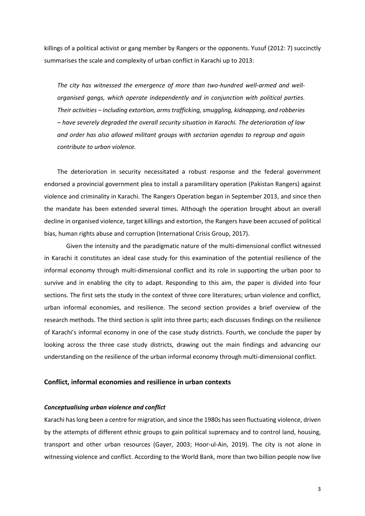killings of a political activist or gang member by Rangers or the opponents. Yusuf (2012: 7) succinctly summarises the scale and complexity of urban conflict in Karachi up to 2013:

*The city has witnessed the emergence of more than two-hundred well-armed and wellorganised gangs, which operate independently and in conjunction with political parties. Their activities – including extortion, arms trafficking, smuggling, kidnapping, and robberies – have severely degraded the overall security situation in Karachi. The deterioration of law and order has also allowed militant groups with sectarian agendas to regroup and again contribute to urban violence.* 

The deterioration in security necessitated a robust response and the federal government endorsed a provincial government plea to install a paramilitary operation (Pakistan Rangers) against violence and criminality in Karachi. The Rangers Operation began in September 2013, and since then the mandate has been extended several times. Although the operation brought about an overall decline in organised violence, target killings and extortion, the Rangers have been accused of political bias, human rights abuse and corruption (International Crisis Group, 2017).

Given the intensity and the paradigmatic nature of the multi-dimensional conflict witnessed in Karachi it constitutes an ideal case study for this examination of the potential resilience of the informal economy through multi-dimensional conflict and its role in supporting the urban poor to survive and in enabling the city to adapt. Responding to this aim, the paper is divided into four sections. The first sets the study in the context of three core literatures; urban violence and conflict, urban informal economies, and resilience. The second section provides a brief overview of the research methods. The third section is split into three parts; each discusses findings on the resilience of Karachi's informal economy in one of the case study districts. Fourth, we conclude the paper by looking across the three case study districts, drawing out the main findings and advancing our understanding on the resilience of the urban informal economy through multi-dimensional conflict.

## **Conflict, informal economies and resilience in urban contexts**

#### *Conceptualising urban violence and conflict*

Karachi has long been a centre for migration, and since the 1980s has seen fluctuating violence, driven by the attempts of different ethnic groups to gain political supremacy and to control land, housing, transport and other urban resources (Gayer, 2003; Hoor-ul-Ain, 2019). The city is not alone in witnessing violence and conflict. According to the World Bank, more than two billion people now live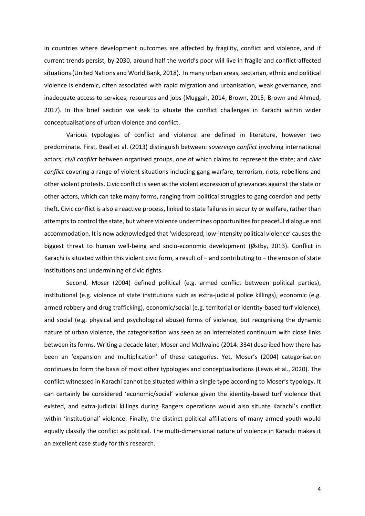in countries where development outcomes are affected by fragility, conflict and violence, and if current trends persist, by 2030, around half the world's poor will live in fragile and conflict-affected situations (United Nations and World Bank, 2018). In many urban areas, sectarian, ethnic and political violence is endemic, often associated with rapid migration and urbanisation, weak governance, and inadequate access to services, resources and jobs (Muggah, 2014; Brown, 2015; Brown and Ahmed, 2017). In this brief section we seek to situate the conflict challenges in Karachi within wider conceptualisations of urban violence and conflict.

Various typologies of conflict and violence are defined in literature, however two predominate. First, Beall et al. (2013) distinguish between: *sovereign conflict* involving international actors; *civil conflict* between organised groups, one of which claims to represent the state; and *civic conflict* covering a range of violent situations including gang warfare, terrorism, riots, rebellions and other violent protests. Civic conflict is seen as the violent expression of grievances against the state or other actors, which can take many forms, ranging from political struggles to gang coercion and petty theft. Civic conflict is also a reactive process, linked to state failures in security or welfare, rather than attempts to control the state, but where violence undermines opportunities for peaceful dialogue and accommodation. It is now acknowledged that 'widespread, low-intensity political violence' causes the biggest threat to human well-being and socio-economic development (Østby, 2013). Conflict in Karachi is situated within this violent civic form, a result of – and contributing to – the erosion of state institutions and undermining of civic rights.

Second, Moser (2004) defined political (e.g. armed conflict between political parties), institutional (e.g. violence of state institutions such as extra-judicial police killings), economic (e.g. armed robbery and drug trafficking), economic/social (e.g. territorial or identity-based turf violence), and social (e.g. physical and psychological abuse) forms of violence, but recognising the dynamic nature of urban violence, the categorisation was seen as an interrelated continuum with close links between its forms. Writing a decade later, Moser and McIlwaine (2014: 334) described how there has been an 'expansion and multiplication' of these categories. Yet, Moser's (2004) categorisation continues to form the basis of most other typologies and conceptualisations (Lewis et al., 2020). The conflict witnessed in Karachi cannot be situated within a single type according to Moser's typology. It can certainly be considered 'economic/social' violence given the identity-based turf violence that existed, and extra-judicial killings during Rangers operations would also situate Karachi's conflict within 'institutional' violence. Finally, the distinct political affiliations of many armed youth would equally classify the conflict as political. The multi-dimensional nature of violence in Karachi makes it an excellent case study for this research.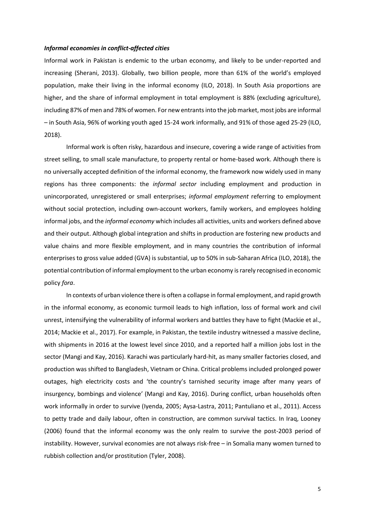#### *Informal economies in conflict-affected cities*

Informal work in Pakistan is endemic to the urban economy, and likely to be under-reported and increasing (Sherani, 2013). Globally, two billion people, more than 61% of the world's employed population, make their living in the informal economy (ILO, 2018). In South Asia proportions are higher, and the share of informal employment in total employment is 88% (excluding agriculture), including 87% of men and 78% of women. For new entrants into the job market, most jobs are informal – in South Asia, 96% of working youth aged 15-24 work informally, and 91% of those aged 25-29 (ILO, 2018).

Informal work is often risky, hazardous and insecure, covering a wide range of activities from street selling, to small scale manufacture, to property rental or home-based work. Although there is no universally accepted definition of the informal economy, the framework now widely used in many regions has three components: the *informal sector* including employment and production in unincorporated, unregistered or small enterprises; *informal employment* referring to employment without social protection, including own-account workers, family workers, and employees holding informal jobs, and the *informal economy* which includes all activities, units and workers defined above and their output. Although global integration and shifts in production are fostering new products and value chains and more flexible employment, and in many countries the contribution of informal enterprises to gross value added (GVA) is substantial, up to 50% in sub-Saharan Africa (ILO, 2018), the potential contribution of informal employment to the urban economy is rarely recognised in economic policy *fora*.

In contexts of urban violence there is often a collapse in formal employment, and rapid growth in the informal economy, as economic turmoil leads to high inflation, loss of formal work and civil unrest, intensifying the vulnerability of informal workers and battles they have to fight (Mackie et al., 2014; Mackie et al., 2017). For example, in Pakistan, the textile industry witnessed a massive decline, with shipments in 2016 at the lowest level since 2010, and a reported half a million jobs lost in the sector (Mangi and Kay, 2016). Karachi was particularly hard-hit, as many smaller factories closed, and production was shifted to Bangladesh, Vietnam or China. Critical problems included prolonged power outages, high electricity costs and 'the country's tarnished security image after many years of insurgency, bombings and violence' (Mangi and Kay, 2016). During conflict, urban households often work informally in order to survive (Iyenda, 2005; Aysa-Lastra, 2011; Pantuliano et al., 2011). Access to petty trade and daily labour, often in construction, are common survival tactics. In Iraq, Looney (2006) found that the informal economy was the only realm to survive the post-2003 period of instability. However, survival economies are not always risk-free – in Somalia many women turned to rubbish collection and/or prostitution (Tyler, 2008).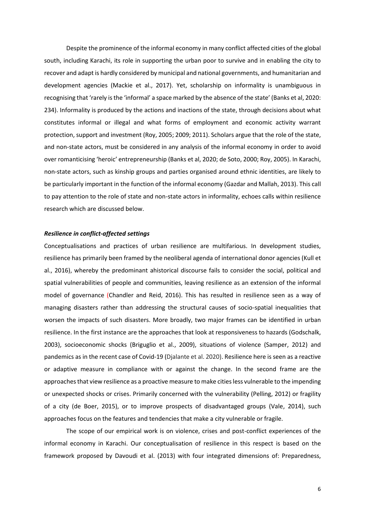Despite the prominence of the informal economy in many conflict affected cities of the global south, including Karachi, its role in supporting the urban poor to survive and in enabling the city to recover and adapt is hardly considered by municipal and national governments, and humanitarian and development agencies (Mackie et al., 2017). Yet, scholarship on informality is unambiguous in recognising that 'rarely is the 'informal' a space marked by the absence of the state' (Banks et al, 2020: 234). Informality is produced by the actions and inactions of the state, through decisions about what constitutes informal or illegal and what forms of employment and economic activity warrant protection, support and investment (Roy, 2005; 2009; 2011). Scholars argue that the role of the state, and non-state actors, must be considered in any analysis of the informal economy in order to avoid over romanticising 'heroic' entrepreneurship (Banks et al, 2020; de Soto, 2000; Roy, 2005). In Karachi, non-state actors, such as kinship groups and parties organised around ethnic identities, are likely to be particularly important in the function of the informal economy (Gazdar and Mallah, 2013). This call to pay attention to the role of state and non-state actors in informality, echoes calls within resilience research which are discussed below.

#### *Resilience in conflict-affected settings*

Conceptualisations and practices of urban resilience are multifarious. In development studies, resilience has primarily been framed by the neoliberal agenda of international donor agencies (Kull et al., 2016), whereby the predominant ahistorical discourse fails to consider the social, political and spatial vulnerabilities of people and communities, leaving resilience as an extension of the informal model of governance (Chandler and Reid, 2016). This has resulted in resilience seen as a way of managing disasters rather than addressing the structural causes of socio-spatial inequalities that worsen the impacts of such disasters. More broadly, two major frames can be identified in urban resilience. In the first instance are the approaches that look at responsiveness to hazards (Godschalk, 2003), socioeconomic shocks (Briguglio et al., 2009), situations of violence (Samper, 2012) and pandemics as in the recent case of Covid-19 (Djalante et al. 2020). Resilience here is seen as a reactive or adaptive measure in compliance with or against the change. In the second frame are the approaches that view resilience as a proactive measure to make cities less vulnerable to the impending or unexpected shocks or crises. Primarily concerned with the vulnerability (Pelling, 2012) or fragility of a city (de Boer, 2015), or to improve prospects of disadvantaged groups (Vale, 2014), such approaches focus on the features and tendencies that make a city vulnerable or fragile.

The scope of our empirical work is on violence, crises and post-conflict experiences of the informal economy in Karachi. Our conceptualisation of resilience in this respect is based on the framework proposed by Davoudi et al. (2013) with four integrated dimensions of: Preparedness,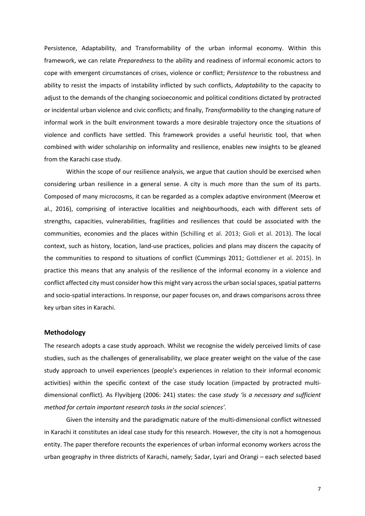Persistence, Adaptability, and Transformability of the urban informal economy. Within this framework, we can relate *Preparedness* to the ability and readiness of informal economic actors to cope with emergent circumstances of crises, violence or conflict; *Persistence* to the robustness and ability to resist the impacts of instability inflicted by such conflicts, *Adaptability* to the capacity to adjust to the demands of the changing socioeconomic and political conditions dictated by protracted or incidental urban violence and civic conflicts; and finally, *Transformability* to the changing nature of informal work in the built environment towards a more desirable trajectory once the situations of violence and conflicts have settled. This framework provides a useful heuristic tool, that when combined with wider scholarship on informality and resilience, enables new insights to be gleaned from the Karachi case study.

 Within the scope of our resilience analysis, we argue that caution should be exercised when considering urban resilience in a general sense. A city is much more than the sum of its parts. Composed of many microcosms, it can be regarded as a complex adaptive environment (Meerow et al., 2016), comprising of interactive localities and neighbourhoods, each with different sets of strengths, capacities, vulnerabilities, fragilities and resiliences that could be associated with the communities, economies and the places within (Schilling et al. 2013; Gioli et al. 2013). The local context, such as history, location, land-use practices, policies and plans may discern the capacity of the communities to respond to situations of conflict (Cummings 2011; Gottdiener et al. 2015). In practice this means that any analysis of the resilience of the informal economy in a violence and conflict affected city must consider how this might vary across the urban social spaces, spatial patterns and socio-spatial interactions. In response, our paper focuses on, and draws comparisons across three key urban sites in Karachi.

## **Methodology**

The research adopts a case study approach. Whilst we recognise the widely perceived limits of case studies, such as the challenges of generalisability, we place greater weight on the value of the case study approach to unveil experiences (people's experiences in relation to their informal economic activities) within the specific context of the case study location (impacted by protracted multidimensional conflict). As Flyvibjerg (2006: 241) states: the case *study 'is a necessary and sufficient method for certain important research tasks in the social sciences'.* 

Given the intensity and the paradigmatic nature of the multi-dimensional conflict witnessed in Karachi it constitutes an ideal case study for this research. However, the city is not a homogenous entity. The paper therefore recounts the experiences of urban informal economy workers across the urban geography in three districts of Karachi, namely; Sadar, Lyari and Orangi – each selected based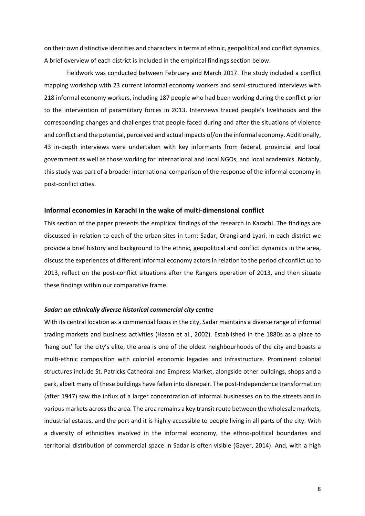on their own distinctive identities and characters in terms of ethnic, geopolitical and conflict dynamics. A brief overview of each district is included in the empirical findings section below.

Fieldwork was conducted between February and March 2017. The study included a conflict mapping workshop with 23 current informal economy workers and semi-structured interviews with 218 informal economy workers, including 187 people who had been working during the conflict prior to the intervention of paramilitary forces in 2013. Interviews traced people's livelihoods and the corresponding changes and challenges that people faced during and after the situations of violence and conflict and the potential, perceived and actual impacts of/on the informal economy. Additionally, 43 in-depth interviews were undertaken with key informants from federal, provincial and local government as well as those working for international and local NGOs, and local academics. Notably, this study was part of a broader international comparison of the response of the informal economy in post-conflict cities.

# **Informal economies in Karachi in the wake of multi-dimensional conflict**

This section of the paper presents the empirical findings of the research in Karachi. The findings are discussed in relation to each of the urban sites in turn: Sadar, Orangi and Lyari. In each district we provide a brief history and background to the ethnic, geopolitical and conflict dynamics in the area, discuss the experiences of different informal economy actors in relation to the period of conflict up to 2013, reflect on the post-conflict situations after the Rangers operation of 2013, and then situate these findings within our comparative frame.

#### *Sadar: an ethnically diverse historical commercial city centre*

With its central location as a commercial focus in the city, Sadar maintains a diverse range of informal trading markets and business activities (Hasan et al., 2002). Established in the 1880s as a place to 'hang out' for the city's elite, the area is one of the oldest neighbourhoods of the city and boasts a multi-ethnic composition with colonial economic legacies and infrastructure. Prominent colonial structures include St. Patricks Cathedral and Empress Market, alongside other buildings, shops and a park, albeit many of these buildings have fallen into disrepair. The post-Independence transformation (after 1947) saw the influx of a larger concentration of informal businesses on to the streets and in various markets across the area. The area remains a key transit route between the wholesale markets, industrial estates, and the port and it is highly accessible to people living in all parts of the city. With a diversity of ethnicities involved in the informal economy, the ethno-political boundaries and territorial distribution of commercial space in Sadar is often visible (Gayer, 2014). And, with a high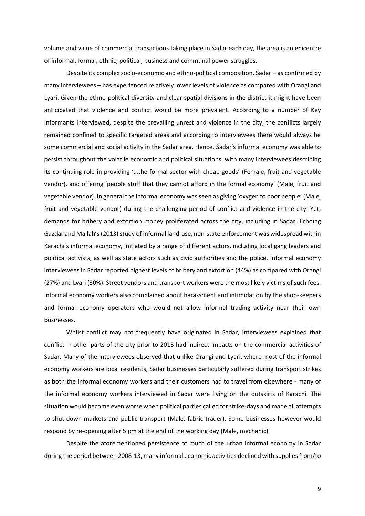volume and value of commercial transactions taking place in Sadar each day, the area is an epicentre of informal, formal, ethnic, political, business and communal power struggles.

Despite its complex socio-economic and ethno-political composition, Sadar – as confirmed by many interviewees – has experienced relatively lower levels of violence as compared with Orangi and Lyari. Given the ethno-political diversity and clear spatial divisions in the district it might have been anticipated that violence and conflict would be more prevalent. According to a number of Key Informants interviewed, despite the prevailing unrest and violence in the city, the conflicts largely remained confined to specific targeted areas and according to interviewees there would always be some commercial and social activity in the Sadar area. Hence, Sadar's informal economy was able to persist throughout the volatile economic and political situations, with many interviewees describing its continuing role in providing '…the formal sector with cheap goods' (Female, fruit and vegetable vendor), and offering 'people stuff that they cannot afford in the formal economy' (Male, fruit and vegetable vendor). In general the informal economy was seen as giving 'oxygen to poor people' (Male, fruit and vegetable vendor) during the challenging period of conflict and violence in the city. Yet, demands for bribery and extortion money proliferated across the city, including in Sadar. Echoing Gazdar and Mallah's (2013) study of informal land-use, non-state enforcement was widespread within Karachi's informal economy, initiated by a range of different actors, including local gang leaders and political activists, as well as state actors such as civic authorities and the police. Informal economy interviewees in Sadar reported highest levels of bribery and extortion (44%) as compared with Orangi (27%) and Lyari (30%). Street vendors and transport workers were the most likely victims of such fees. Informal economy workers also complained about harassment and intimidation by the shop-keepers and formal economy operators who would not allow informal trading activity near their own businesses.

Whilst conflict may not frequently have originated in Sadar, interviewees explained that conflict in other parts of the city prior to 2013 had indirect impacts on the commercial activities of Sadar. Many of the interviewees observed that unlike Orangi and Lyari, where most of the informal economy workers are local residents, Sadar businesses particularly suffered during transport strikes as both the informal economy workers and their customers had to travel from elsewhere - many of the informal economy workers interviewed in Sadar were living on the outskirts of Karachi. The situation would become even worse when political parties called for strike-days and made all attempts to shut-down markets and public transport (Male, fabric trader). Some businesses however would respond by re-opening after 5 pm at the end of the working day (Male, mechanic).

Despite the aforementioned persistence of much of the urban informal economy in Sadar during the period between 2008-13, many informal economic activities declined with supplies from/to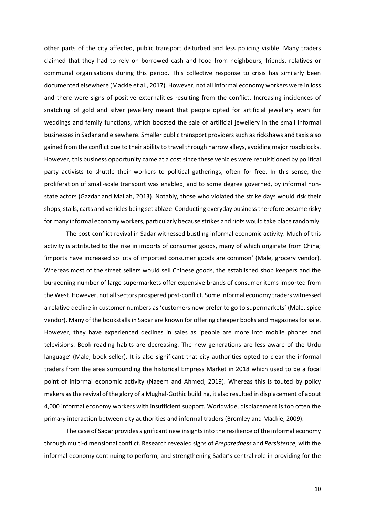other parts of the city affected, public transport disturbed and less policing visible. Many traders claimed that they had to rely on borrowed cash and food from neighbours, friends, relatives or communal organisations during this period. This collective response to crisis has similarly been documented elsewhere (Mackie et al., 2017). However, not all informal economy workers were in loss and there were signs of positive externalities resulting from the conflict. Increasing incidences of snatching of gold and silver jewellery meant that people opted for artificial jewellery even for weddings and family functions, which boosted the sale of artificial jewellery in the small informal businesses in Sadar and elsewhere. Smaller public transport providers such as rickshaws and taxis also gained from the conflict due to their ability to travel through narrow alleys, avoiding major roadblocks. However, this business opportunity came at a cost since these vehicles were requisitioned by political party activists to shuttle their workers to political gatherings, often for free. In this sense, the proliferation of small-scale transport was enabled, and to some degree governed, by informal nonstate actors (Gazdar and Mallah, 2013). Notably, those who violated the strike days would risk their shops, stalls, carts and vehicles being set ablaze. Conducting everyday business therefore became risky for many informal economy workers, particularly because strikes and riots would take place randomly.

The post-conflict revival in Sadar witnessed bustling informal economic activity. Much of this activity is attributed to the rise in imports of consumer goods, many of which originate from China; 'imports have increased so lots of imported consumer goods are common' (Male, grocery vendor). Whereas most of the street sellers would sell Chinese goods, the established shop keepers and the burgeoning number of large supermarkets offer expensive brands of consumer items imported from the West. However, not all sectors prospered post-conflict. Some informal economy traders witnessed a relative decline in customer numbers as 'customers now prefer to go to supermarkets' (Male, spice vendor). Many of the bookstalls in Sadar are known for offering cheaper books and magazines for sale. However, they have experienced declines in sales as 'people are more into mobile phones and televisions. Book reading habits are decreasing. The new generations are less aware of the Urdu language' (Male, book seller). It is also significant that city authorities opted to clear the informal traders from the area surrounding the historical Empress Market in 2018 which used to be a focal point of informal economic activity (Naeem and Ahmed, 2019). Whereas this is touted by policy makers as the revival of the glory of a Mughal-Gothic building, it also resulted in displacement of about 4,000 informal economy workers with insufficient support. Worldwide, displacement is too often the primary interaction between city authorities and informal traders (Bromley and Mackie, 2009).

The case of Sadar provides significant new insights into the resilience of the informal economy through multi-dimensional conflict. Research revealed signs of *Preparedness* and *Persistence*, with the informal economy continuing to perform, and strengthening Sadar's central role in providing for the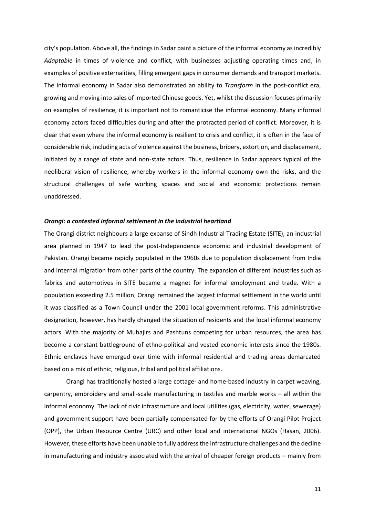city's population. Above all, the findings in Sadar paint a picture of the informal economy as incredibly *Adaptable* in times of violence and conflict, with businesses adjusting operating times and, in examples of positive externalities, filling emergent gaps in consumer demands and transport markets. The informal economy in Sadar also demonstrated an ability to *Transform* in the post-conflict era, growing and moving into sales of imported Chinese goods. Yet, whilst the discussion focuses primarily on examples of resilience, it is important not to romanticise the informal economy. Many informal economy actors faced difficulties during and after the protracted period of conflict. Moreover, it is clear that even where the informal economy is resilient to crisis and conflict, it is often in the face of considerable risk, including acts of violence against the business, bribery, extortion, and displacement, initiated by a range of state and non-state actors. Thus, resilience in Sadar appears typical of the neoliberal vision of resilience, whereby workers in the informal economy own the risks, and the structural challenges of safe working spaces and social and economic protections remain unaddressed.

#### *Orangi: a contested informal settlement in the industrial heartland*

The Orangi district neighbours a large expanse of Sindh Industrial Trading Estate (SITE), an industrial area planned in 1947 to lead the post-Independence economic and industrial development of Pakistan. Orangi became rapidly populated in the 1960s due to population displacement from India and internal migration from other parts of the country. The expansion of different industries such as fabrics and automotives in SITE became a magnet for informal employment and trade. With a population exceeding 2.5 million, Orangi remained the largest informal settlement in the world until it was classified as a Town Council under the 2001 local government reforms. This administrative designation, however, has hardly changed the situation of residents and the local informal economy actors. With the majority of Muhajirs and Pashtuns competing for urban resources, the area has become a constant battleground of ethno-political and vested economic interests since the 1980s. Ethnic enclaves have emerged over time with informal residential and trading areas demarcated based on a mix of ethnic, religious, tribal and political affiliations.

Orangi has traditionally hosted a large cottage- and home-based industry in carpet weaving, carpentry, embroidery and small-scale manufacturing in textiles and marble works – all within the informal economy. The lack of civic infrastructure and local utilities (gas, electricity, water, sewerage) and government support have been partially compensated for by the efforts of Orangi Pilot Project (OPP), the Urban Resource Centre (URC) and other local and international NGOs (Hasan, 2006). However, these efforts have been unable to fully address the infrastructure challenges and the decline in manufacturing and industry associated with the arrival of cheaper foreign products – mainly from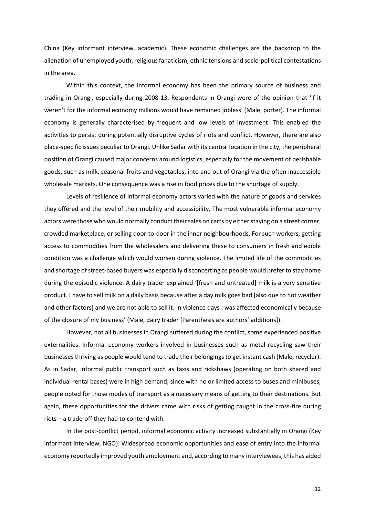China (Key informant interview, academic). These economic challenges are the backdrop to the alienation of unemployed youth, religious fanaticism, ethnic tensions and socio-political contestations in the area.

Within this context, the informal economy has been the primary source of business and trading in Orangi, especially during 2008-13. Respondents in Orangi were of the opinion that 'if it weren't for the informal economy millions would have remained jobless' (Male, porter). The informal economy is generally characterised by frequent and low levels of investment. This enabled the activities to persist during potentially disruptive cycles of riots and conflict. However, there are also place-specific issues peculiar to Orangi. Unlike Sadar with its central location in the city, the peripheral position of Orangi caused major concerns around logistics, especially for the movement of perishable goods, such as milk, seasonal fruits and vegetables, into and out of Orangi via the often inaccessible wholesale markets. One consequence was a rise in food prices due to the shortage of supply.

Levels of resilience of informal economy actors varied with the nature of goods and services they offered and the level of their mobility and accessibility. The most vulnerable informal economy actors were those who would normally conduct their sales on carts by either staying on a street corner, crowded marketplace, or selling door-to-door in the inner neighbourhoods. For such workers, getting access to commodities from the wholesalers and delivering these to consumers in fresh and edible condition was a challenge which would worsen during violence. The limited life of the commodities and shortage of street-based buyers was especially disconcerting as people would prefer to stay home during the episodic violence. A dairy trader explained '[fresh and untreated] milk is a very sensitive product. I have to sell milk on a daily basis because after a day milk goes bad [also due to hot weather and other factors] and we are not able to sell it. In violence days I was affected economically because of the closure of my business' (Male, dairy trader [Parenthesis are authors' additions]).

However, not all businesses in Orangi suffered during the conflict, some experienced positive externalities. Informal economy workers involved in businesses such as metal recycling saw their businesses thriving as people would tend to trade their belongings to get instant cash (Male, recycler). As in Sadar, informal public transport such as taxis and rickshaws (operating on both shared and individual rental bases) were in high demand, since with no or limited access to buses and minibuses, people opted for those modes of transport as a necessary means of getting to their destinations. But again, these opportunities for the drivers came with risks of getting caught in the cross-fire during riots – a trade-off they had to contend with.

In the post-conflict period, informal economic activity increased substantially in Orangi (Key informant interview, NGO). Widespread economic opportunities and ease of entry into the informal economy reportedly improved youth employment and, according to many interviewees, this has aided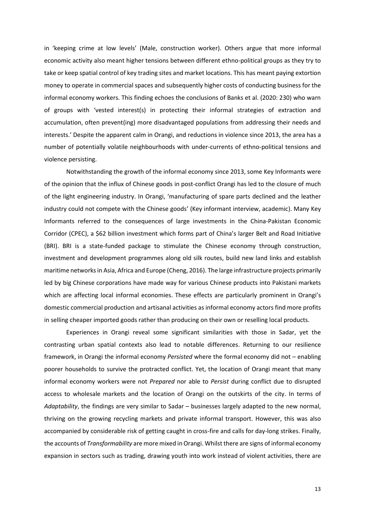in 'keeping crime at low levels' (Male, construction worker). Others argue that more informal economic activity also meant higher tensions between different ethno-political groups as they try to take or keep spatial control of key trading sites and market locations. This has meant paying extortion money to operate in commercial spaces and subsequently higher costs of conducting business for the informal economy workers. This finding echoes the conclusions of Banks et al. (2020: 230) who warn of groups with 'vested interest(s) in protecting their informal strategies of extraction and accumulation, often prevent(ing) more disadvantaged populations from addressing their needs and interests.' Despite the apparent calm in Orangi, and reductions in violence since 2013, the area has a number of potentially volatile neighbourhoods with under-currents of ethno-political tensions and violence persisting.

Notwithstanding the growth of the informal economy since 2013, some Key Informants were of the opinion that the influx of Chinese goods in post-conflict Orangi has led to the closure of much of the light engineering industry. In Orangi, 'manufacturing of spare parts declined and the leather industry could not compete with the Chinese goods' (Key informant interview, academic). Many Key Informants referred to the consequences of large investments in the China-Pakistan Economic Corridor (CPEC), a \$62 billion investment which forms part of China's larger Belt and Road Initiative (BRI). BRI is a state-funded package to stimulate the Chinese economy through construction, investment and development programmes along old silk routes, build new land links and establish maritime networks in Asia, Africa and Europe (Cheng, 2016). The large infrastructure projects primarily led by big Chinese corporations have made way for various Chinese products into Pakistani markets which are affecting local informal economies. These effects are particularly prominent in Orangi's domestic commercial production and artisanal activities as informal economy actors find more profits in selling cheaper imported goods rather than producing on their own or reselling local products.

Experiences in Orangi reveal some significant similarities with those in Sadar, yet the contrasting urban spatial contexts also lead to notable differences. Returning to our resilience framework, in Orangi the informal economy *Persisted* where the formal economy did not – enabling poorer households to survive the protracted conflict. Yet, the location of Orangi meant that many informal economy workers were not *Prepared* nor able to *Persist* during conflict due to disrupted access to wholesale markets and the location of Orangi on the outskirts of the city. In terms of *Adaptability*, the findings are very similar to Sadar – businesses largely adapted to the new normal, thriving on the growing recycling markets and private informal transport. However, this was also accompanied by considerable risk of getting caught in cross-fire and calls for day-long strikes. Finally, the accounts of *Transformability* are more mixed in Orangi. Whilst there are signs of informal economy expansion in sectors such as trading, drawing youth into work instead of violent activities, there are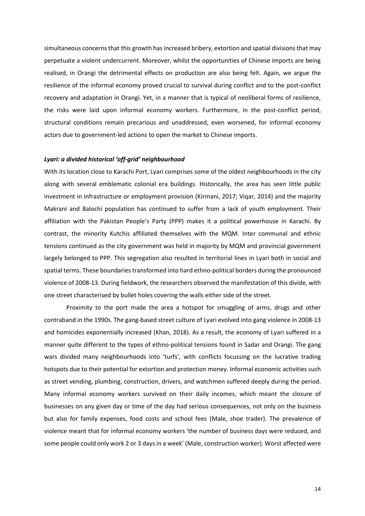simultaneous concerns that this growth has increased bribery, extortion and spatial divisions that may perpetuate a violent undercurrent. Moreover, whilst the opportunities of Chinese imports are being realised, in Orangi the detrimental effects on production are also being felt. Again, we argue the resilience of the informal economy proved crucial to survival during conflict and to the post-conflict recovery and adaptation in Orangi. Yet, in a manner that is typical of neoliberal forms of resilience, the risks were laid upon informal economy workers. Furthermore, in the post-conflict period, structural conditions remain precarious and unaddressed, even worsened, for informal economy actors due to government-led actions to open the market to Chinese imports.

#### *Lyari: a divided historical 'off-grid' neighbourhood*

With its location close to Karachi Port, Lyari comprises some of the oldest neighbourhoods in the city along with several emblematic colonial era buildings. Historically, the area has seen little public investment in infrastructure or employment provision (Kirmani, 2017; Viqar, 2014) and the majority Makrani and Balochi population has continued to suffer from a lack of youth employment. Their affiliation with the Pakistan People's Party (PPP) makes it a political powerhouse in Karachi. By contrast, the minority Kutchis affiliated themselves with the MQM. Inter communal and ethnic tensions continued as the city government was held in majority by MQM and provincial government largely belonged to PPP. This segregation also resulted in territorial lines in Lyari both in social and spatial terms. These boundaries transformed into hard ethno-political borders during the pronounced violence of 2008-13. During fieldwork, the researchers observed the manifestation of this divide, with one street characterised by bullet holes covering the walls either side of the street.

Proximity to the port made the area a hotspot for smuggling of arms, drugs and other contraband in the 1990s. The gang-based street culture of Lyari evolved into gang violence in 2008-13 and homicides exponentially increased (Khan, 2018). As a result, the economy of Lyari suffered in a manner quite different to the types of ethno-political tensions found in Sadar and Orangi. The gang wars divided many neighbourhoods into 'turfs', with conflicts focussing on the lucrative trading hotspots due to their potential for extortion and protection money. Informal economic activities such as street vending, plumbing, construction, drivers, and watchmen suffered deeply during the period. Many informal economy workers survived on their daily incomes, which meant the closure of businesses on any given day or time of the day had serious consequences, not only on the business but also for family expenses, food costs and school fees (Male, shoe trader). The prevalence of violence meant that for informal economy workers 'the number of business days were reduced, and some people could only work 2 or 3 days in a week' (Male, construction worker). Worst affected were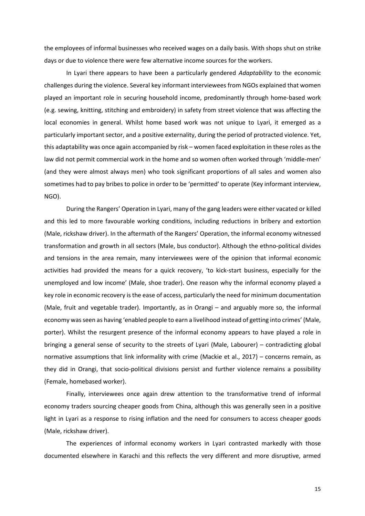the employees of informal businesses who received wages on a daily basis. With shops shut on strike days or due to violence there were few alternative income sources for the workers.

In Lyari there appears to have been a particularly gendered *Adaptability* to the economic challenges during the violence. Several key informant interviewees from NGOs explained that women played an important role in securing household income, predominantly through home-based work (e.g. sewing, knitting, stitching and embroidery) in safety from street violence that was affecting the local economies in general. Whilst home based work was not unique to Lyari, it emerged as a particularly important sector, and a positive externality, during the period of protracted violence. Yet, this adaptability was once again accompanied by risk – women faced exploitation in these roles as the law did not permit commercial work in the home and so women often worked through 'middle-men' (and they were almost always men) who took significant proportions of all sales and women also sometimes had to pay bribes to police in order to be 'permitted' to operate (Key informant interview, NGO).

During the Rangers' Operation in Lyari, many of the gang leaders were either vacated or killed and this led to more favourable working conditions, including reductions in bribery and extortion (Male, rickshaw driver). In the aftermath of the Rangers' Operation, the informal economy witnessed transformation and growth in all sectors (Male, bus conductor). Although the ethno-political divides and tensions in the area remain, many interviewees were of the opinion that informal economic activities had provided the means for a quick recovery, 'to kick-start business, especially for the unemployed and low income' (Male, shoe trader). One reason why the informal economy played a key role in economic recovery is the ease of access, particularly the need for minimum documentation (Male, fruit and vegetable trader). Importantly, as in Orangi – and arguably more so, the informal economy was seen as having 'enabled people to earn a livelihood instead of getting into crimes' (Male, porter). Whilst the resurgent presence of the informal economy appears to have played a role in bringing a general sense of security to the streets of Lyari (Male, Labourer) – contradicting global normative assumptions that link informality with crime (Mackie et al., 2017) – concerns remain, as they did in Orangi, that socio-political divisions persist and further violence remains a possibility (Female, homebased worker).

Finally, interviewees once again drew attention to the transformative trend of informal economy traders sourcing cheaper goods from China, although this was generally seen in a positive light in Lyari as a response to rising inflation and the need for consumers to access cheaper goods (Male, rickshaw driver).

The experiences of informal economy workers in Lyari contrasted markedly with those documented elsewhere in Karachi and this reflects the very different and more disruptive, armed

15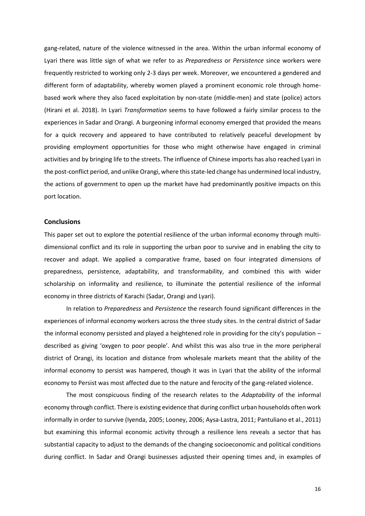gang-related, nature of the violence witnessed in the area. Within the urban informal economy of Lyari there was little sign of what we refer to as *Preparedness* or *Persistence* since workers were frequently restricted to working only 2-3 days per week. Moreover, we encountered a gendered and different form of adaptability, whereby women played a prominent economic role through homebased work where they also faced exploitation by non-state (middle-men) and state (police) actors (Hirani et al. 2018). In Lyari *Transformation* seems to have followed a fairly similar process to the experiences in Sadar and Orangi. A burgeoning informal economy emerged that provided the means for a quick recovery and appeared to have contributed to relatively peaceful development by providing employment opportunities for those who might otherwise have engaged in criminal activities and by bringing life to the streets. The influence of Chinese imports has also reached Lyari in the post-conflict period, and unlike Orangi, where this state-led change has undermined local industry, the actions of government to open up the market have had predominantly positive impacts on this port location.

#### **Conclusions**

This paper set out to explore the potential resilience of the urban informal economy through multidimensional conflict and its role in supporting the urban poor to survive and in enabling the city to recover and adapt. We applied a comparative frame, based on four integrated dimensions of preparedness, persistence, adaptability, and transformability, and combined this with wider scholarship on informality and resilience, to illuminate the potential resilience of the informal economy in three districts of Karachi (Sadar, Orangi and Lyari).

In relation to *Preparedness* and *Persistence* the research found significant differences in the experiences of informal economy workers across the three study sites. In the central district of Sadar the informal economy persisted and played a heightened role in providing for the city's population – described as giving 'oxygen to poor people'. And whilst this was also true in the more peripheral district of Orangi, its location and distance from wholesale markets meant that the ability of the informal economy to persist was hampered, though it was in Lyari that the ability of the informal economy to Persist was most affected due to the nature and ferocity of the gang-related violence.

The most conspicuous finding of the research relates to the *Adaptability* of the informal economy through conflict. There is existing evidence that during conflict urban households often work informally in order to survive (Iyenda, 2005; Looney, 2006; Aysa-Lastra, 2011; Pantuliano et al., 2011) but examining this informal economic activity through a resilience lens reveals a sector that has substantial capacity to adjust to the demands of the changing socioeconomic and political conditions during conflict. In Sadar and Orangi businesses adjusted their opening times and, in examples of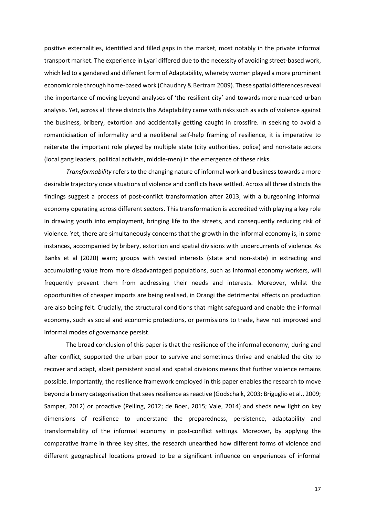positive externalities, identified and filled gaps in the market, most notably in the private informal transport market. The experience in Lyari differed due to the necessity of avoiding street-based work, which led to a gendered and different form of Adaptability, whereby women played a more prominent economic role through home-based work (Chaudhry & Bertram 2009). These spatial differences reveal the importance of moving beyond analyses of 'the resilient city' and towards more nuanced urban analysis. Yet, across all three districts this Adaptability came with risks such as acts of violence against the business, bribery, extortion and accidentally getting caught in crossfire. In seeking to avoid a romanticisation of informality and a neoliberal self-help framing of resilience, it is imperative to reiterate the important role played by multiple state (city authorities, police) and non-state actors (local gang leaders, political activists, middle-men) in the emergence of these risks.

*Transformability* refers to the changing nature of informal work and business towards a more desirable trajectory once situations of violence and conflicts have settled. Across all three districts the findings suggest a process of post-conflict transformation after 2013, with a burgeoning informal economy operating across different sectors. This transformation is accredited with playing a key role in drawing youth into employment, bringing life to the streets, and consequently reducing risk of violence. Yet, there are simultaneously concerns that the growth in the informal economy is, in some instances, accompanied by bribery, extortion and spatial divisions with undercurrents of violence. As Banks et al (2020) warn; groups with vested interests (state and non-state) in extracting and accumulating value from more disadvantaged populations, such as informal economy workers, will frequently prevent them from addressing their needs and interests. Moreover, whilst the opportunities of cheaper imports are being realised, in Orangi the detrimental effects on production are also being felt. Crucially, the structural conditions that might safeguard and enable the informal economy, such as social and economic protections, or permissions to trade, have not improved and informal modes of governance persist.

 The broad conclusion of this paper is that the resilience of the informal economy, during and after conflict, supported the urban poor to survive and sometimes thrive and enabled the city to recover and adapt, albeit persistent social and spatial divisions means that further violence remains possible. Importantly, the resilience framework employed in this paper enables the research to move beyond a binary categorisation that sees resilience as reactive (Godschalk, 2003; Briguglio et al., 2009; Samper, 2012) or proactive (Pelling, 2012; de Boer, 2015; Vale, 2014) and sheds new light on key dimensions of resilience to understand the preparedness, persistence, adaptability and transformability of the informal economy in post-conflict settings. Moreover, by applying the comparative frame in three key sites, the research unearthed how different forms of violence and different geographical locations proved to be a significant influence on experiences of informal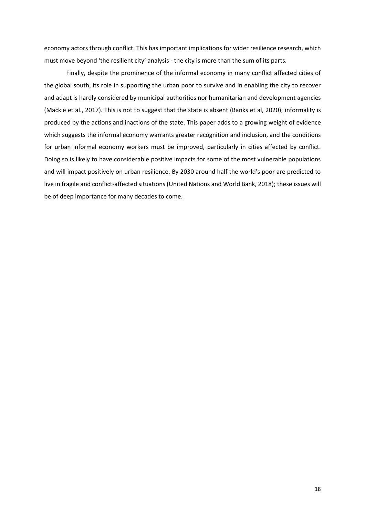economy actors through conflict. This has important implications for wider resilience research, which must move beyond 'the resilient city' analysis - the city is more than the sum of its parts.

Finally, despite the prominence of the informal economy in many conflict affected cities of the global south, its role in supporting the urban poor to survive and in enabling the city to recover and adapt is hardly considered by municipal authorities nor humanitarian and development agencies (Mackie et al., 2017). This is not to suggest that the state is absent (Banks et al, 2020); informality is produced by the actions and inactions of the state. This paper adds to a growing weight of evidence which suggests the informal economy warrants greater recognition and inclusion, and the conditions for urban informal economy workers must be improved, particularly in cities affected by conflict. Doing so is likely to have considerable positive impacts for some of the most vulnerable populations and will impact positively on urban resilience. By 2030 around half the world's poor are predicted to live in fragile and conflict-affected situations (United Nations and World Bank, 2018); these issues will be of deep importance for many decades to come.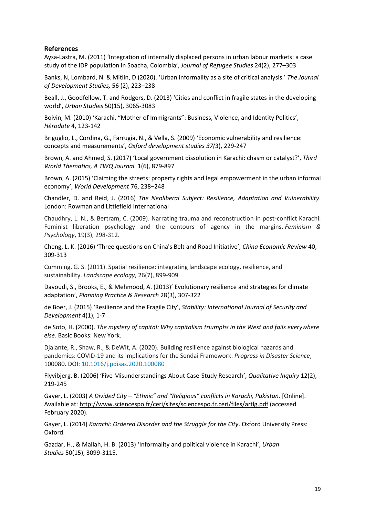# **References**

Aysa-Lastra, M. (2011) 'Integration of internally displaced persons in urban labour markets: a case study of the IDP population in Soacha, Colombia', *Journal of Refugee Studies* 24(2), 277–303

Banks, N, Lombard, N. & Mitlin, D (2020). 'Urban informality as a site of critical analysis.' *The Journal of Development Studies,* 56 (2), 223–238

Beall, J., Goodfellow, T. and Rodgers, D. (2013) 'Cities and conflict in fragile states in the developing world', *Urban Studies* 50(15), 3065-3083

Boivin, M. (2010) 'Karachi, "Mother of Immigrants": Business, Violence, and Identity Politics', *Hérodote* 4, 123-142

Briguglio, L., Cordina, G., Farrugia, N., & Vella, S. (2009) 'Economic vulnerability and resilience: concepts and measurements', *Oxford development studies 37(*3), 229-247

Brown, A. and Ahmed, S. (2017) 'Local government dissolution in Karachi: chasm or catalyst?', *Third World Thematics, A TWQ Journal.* 1(6), 879-897

Brown, A. (2015) 'Claiming the streets: property rights and legal empowerment in the urban informal economy', *World Development* 76, 238–248

Chandler, D. and Reid, J. (2016) *The Neoliberal Subject: Resilience, Adaptation and Vulnerability*. London: Rowman and Littlefield International

Chaudhry, L. N., & Bertram, C. (2009). Narrating trauma and reconstruction in post-conflict Karachi: Feminist liberation psychology and the contours of agency in the margins. *Feminism & Psychology*, 19(3), 298-312.

Cheng, L. K. (2016) 'Three questions on China's Belt and Road Initiative', *China Economic Review* 40, 309-313

Cumming, G. S. (2011). Spatial resilience: integrating landscape ecology, resilience, and sustainability. *Landscape ecology*, 26(7), 899-909

Davoudi, S., Brooks, E., & Mehmood, A. (2013)' Evolutionary resilience and strategies for climate adaptation', *Planning Practice & Research* 28(3), 307-322

de Boer, J. (2015) 'Resilience and the Fragile City', *Stability: International Journal of Security and Development* 4(1), 1-7

de Soto, H. (2000). *The mystery of capital: Why capitalism triumphs in the West and fails everywhere else*. Basic Books: New York.

Djalante, R., Shaw, R., & DeWit, A. (2020). Building resilience against biological hazards and pandemics: COVID-19 and its implications for the Sendai Framework. *Progress in Disaster Science*, 100080. DOI: [10.1016/j.pdisas.2020.100080](https://doi.org/10.1016/j.pdisas.2020.100080)

Flyvibjerg, B. (2006) 'Five Misunderstandings About Case-Study Research', *Qualitative Inquiry* 12(2), 219-245

Gayer, L. (2003) *A Divided City – "Ethnic" and "Religious" conflicts in Karachi, Pakistan.* [Online]. Available at[: http://www.sciencespo.fr/ceri/sites/sciencespo.fr.ceri/files/artlg.pdf \(](http://www.sciencespo.fr/ceri/sites/sciencespo.fr.ceri/files/artlg.pdf)accessed February 2020).

Gayer, L. (2014) *Karachi: Ordered Disorder and the Struggle for the City*. Oxford University Press: Oxford.

Gazdar, H., & Mallah, H. B. (2013) 'Informality and political violence in Karachi', *Urban Studies* 50(15), 3099-3115.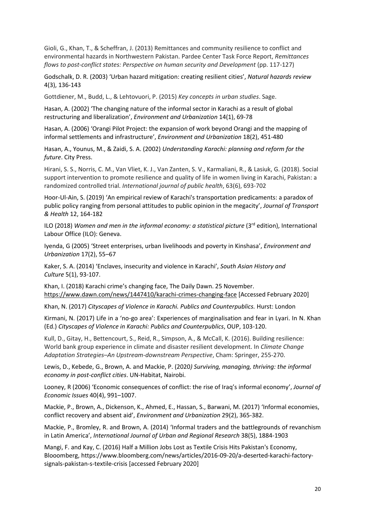Gioli, G., Khan, T., & Scheffran, J. (2013) Remittances and community resilience to conflict and environmental hazards in Northwestern Pakistan. Pardee Center Task Force Report, *Remittances flows to post-conflict states: Perspective on human security and Development* (pp. 117-127)

Godschalk, D. R. (2003) 'Urban hazard mitigation: creating resilient cities', *Natural hazards review* 4(3), 136-143

Gottdiener, M., Budd, L., & Lehtovuori, P. (2015) *Key concepts in urban studies*. Sage.

Hasan, A. (2002) 'The changing nature of the informal sector in Karachi as a result of global restructuring and liberalization', *Environment and Urbanization* 14(1), 69-78

Hasan, A. (2006) 'Orangi Pilot Project: the expansion of work beyond Orangi and the mapping of informal settlements and infrastructure', *Environment and Urbanization* 18(2), 451-480

Hasan, A., Younus, M., & Zaidi, S. A. (2002) *Understanding Karachi: planning and reform for the future*. City Press.

Hirani, S. S., Norris, C. M., Van Vliet, K. J., Van Zanten, S. V., Karmaliani, R., & Lasiuk, G. (2018). Social support intervention to promote resilience and quality of life in women living in Karachi, Pakistan: a randomized controlled trial. *International journal of public health*, 63(6), 693-702

Hoor-Ul-Ain, S. (2019) 'An empirical review of Karachi's transportation predicaments: a paradox of public policy ranging from personal attitudes to public opinion in the megacity', *Journal of Transport & Health* 12, 164-182

ILO (2018) *Women and men in the informal economy: a statistical picture* (3<sup>rd</sup> edition), International Labour Office (ILO): Geneva.

Iyenda, G (2005) 'Street enterprises, urban livelihoods and poverty in Kinshasa', *Environment and Urbanization* 17(2), 55–67

Kaker, S. A. (2014) 'Enclaves, insecurity and violence in Karachi', *South Asian History and Culture* 5(1), 93-107.

Khan, I. (2018) Karachi crime's changing face, The Daily Dawn. 25 November. <https://www.dawn.com/news/1447410/karachi-crimes-changing-face>[Accessed February 2020]

Khan, N. (2017) *Cityscapes of Violence in Karachi. Publics and Counterpublics.* Hurst: London

Kirmani, N. (2017) Life in a 'no-go area': Experiences of marginalisation and fear in Lyari. In N. Khan (Ed.) *Cityscapes of Violence in Karachi: Publics and Counterpublics*, OUP, 103-120.

Kull, D., Gitay, H., Bettencourt, S., Reid, R., Simpson, A., & McCall, K. (2016). Building resilience: World bank group experience in climate and disaster resilient development. In *Climate Change Adaptation Strategies–An Upstream-downstream Perspective*, Cham: Springer, 255-270.

Lewis, D., Kebede, G., Brown, A. and Mackie, P. (2020*) Surviving, managing, thriving: the informal economy in post-conflict cities*. UN-Habitat, Nairobi.

Looney, R (2006) 'Economic consequences of conflict: the rise of Iraq's informal economy', *Journal of Economic Issues* 40(4), 991–1007.

Mackie, P., Brown, A., Dickenson, K., Ahmed, E., Hassan, S., Barwani, M. (2017) 'Informal economies, conflict recovery and absent aid', *Environment and Urbanization* 29(2), 365-382.

Mackie, P., Bromley, R. and Brown, A. (2014) 'Informal traders and the battlegrounds of revanchism in Latin America', *International Journal of Urban and Regional Research* 38(5), 1884-1903

Mangi, F. and Kay, C. (2016) Half a Million Jobs Lost as Textile Crisis Hits Pakistan's Economy, Blooomberg, https://www.bloomberg.com/news/articles/2016-09-20/a-deserted-karachi-factorysignals-pakistan-s-textile-crisis [accessed February 2020]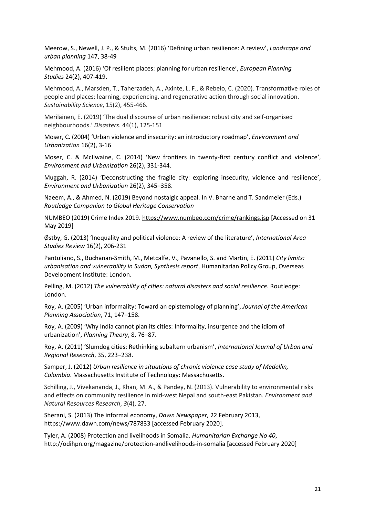Meerow, S., Newell, J. P., & Stults, M. (2016) 'Defining urban resilience: A review', *Landscape and urban planning* 147, 38-49

Mehmood, A. (2016) 'Of resilient places: planning for urban resilience', *European Planning Studies* 24(2), 407-419.

Mehmood, A., Marsden, T., Taherzadeh, A., Axinte, L. F., & Rebelo, C. (2020). Transformative roles of people and places: learning, experiencing, and regenerative action through social innovation. *Sustainability Science*, 15(2), 455-466.

Meriläinen, E. (2019) 'The dual discourse of urban resilience: robust city and self‐organised neighbourhoods.' *Disasters*. 44(1), 125-151

Moser, C. (2004) 'Urban violence and insecurity: an introductory roadmap', *Environment and Urbanization* 16(2), 3-16

Moser, C. & McIlwaine, C. (2014) 'New frontiers in twenty-first century conflict and violence', *Environment and Urbanization* 26(2), 331-344.

Muggah, R. (2014) 'Deconstructing the fragile city: exploring insecurity, violence and resilience', *Environment and Urbanization* 26(2), 345–358.

Naeem, A., & Ahmed, N. (2019) Beyond nostalgic appeal. In V. Bharne and T. Sandmeier (Eds.) *Routledge Companion to Global Heritage Conservation*

NUMBEO (2019) Crime Index 2019[. https://www.numbeo.com/crime/rankings.jsp](https://www.numbeo.com/crime/rankings.jsp) [Accessed on 31 May 2019]

Østby, G. (2013) 'Inequality and political violence: A review of the literature', *International Area Studies Review* 16(2), 206-231

Pantuliano, S., Buchanan-Smith, M., Metcalfe, V., Pavanello, S. and Martin, E. (2011) *City limits: urbanisation and vulnerability in Sudan, Synthesis report*, Humanitarian Policy Group, Overseas Development Institute: London.

Pelling, M. (2012) *The vulnerability of cities: natural disasters and social resilience*. Routledge: London.

Roy, A. (2005) 'Urban informality: Toward an epistemology of planning', *Journal of the American Planning Association*, 71, 147–158.

Roy, A. (2009) 'Why India cannot plan its cities: Informality, insurgence and the idiom of urbanization', *Planning Theory*, 8, 76–87.

Roy, A. (2011) 'Slumdog cities: Rethinking subaltern urbanism', *International Journal of Urban and Regional Research*, 35, 223–238.

Samper, J. (2012) *Urban resilience in situations of chronic violence case study of Medellin, Colombia*. Massachusetts Institute of Technology: Massachusetts.

Schilling, J., Vivekananda, J., Khan, M. A., & Pandey, N. (2013). Vulnerability to environmental risks and effects on community resilience in mid-west Nepal and south-east Pakistan. *Environment and Natural Resources Research*, *3*(4), 27.

Sherani, S. (2013) The informal economy, *Dawn Newspaper,* 22 February 2013, https://www.dawn.com/news/787833 [accessed February 2020].

Tyler, A. (2008) Protection and livelihoods in Somalia. *Humanitarian Exchange No 40*, http://odihpn.org/magazine/protection-andlivelihoods-in-somalia [accessed February 2020]